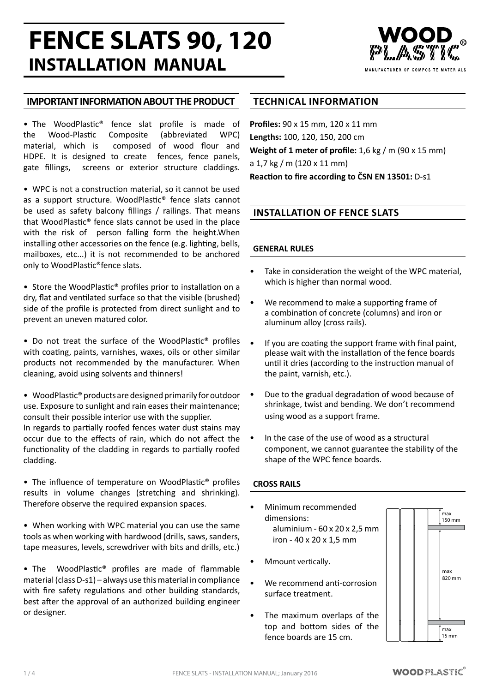# **FENCE SLATS 90, 120 INSTALLATION MANUAL**



## **IMPORTANT INFORMATION ABOUT THE PRODUCT**

• The WoodPlastic® fence slat profile is made of the Wood-Plastic Composite (abbreviated WPC) material, which is composed of wood flour and HDPE. It is designed to create fences, fence panels, gate fillings, screens or exterior structure claddings.

• WPC is not a construction material, so it cannot be used as a support structure. WoodPlastic® fence slats cannot be used as safety balcony fillings / railings. That means that WoodPlastic® fence slats cannot be used in the place with the risk of person falling form the height.When installing other accessories on the fence (e.g. lighting, bells, mailboxes, etc...) it is not recommended to be anchored only to WoodPlastic®fence slats.

• Store the WoodPlastic® profiles prior to installation on a dry, flat and ventilated surface so that the visible (brushed) side of the profile is protected from direct sunlight and to prevent an uneven matured color.

• Do not treat the surface of the WoodPlastic® profiles with coating, paints, varnishes, waxes, oils or other similar products not recommended by the manufacturer. When cleaning, avoid using solvents and thinners!

• WoodPlastic<sup>®</sup> products are designed primarily for outdoor use. Exposure to sunlight and rain eases their maintenance; consult their possible interior use with the supplier. In regards to partially roofed fences water dust stains may occur due to the effects of rain, which do not affect the functionality of the cladding in regards to partially roofed

cladding. • The influence of temperature on WoodPlastic® profiles results in volume changes (stretching and shrinking).

Therefore observe the required expansion spaces.

• When working with WPC material you can use the same tools as when working with hardwood (drills, saws, sanders, tape measures, levels, screwdriver with bits and drills, etc.)

• The WoodPlastic® profiles are made of flammable material (class D-s1) – always use this material in compliance with fire safety regulations and other building standards, best after the approval of an authorized building engineer or designer.

### **TECHNICAL INFORMATION**

**Profiles:** 90 x 15 mm, 120 x 11 mm **Lengths:** 100, 120, 150, 200 cm **Weight of 1 meter of profile:** 1,6 kg / m (90 x 15 mm) a 1,7 kg / m (120 x 11 mm) **Reaction to fire according to ČSN EN 13501:** D-s1

## **INSTALLATION OF FENCE SLATS**

#### **GENERAL RULES**

- Take in consideration the weight of the WPC material, which is higher than normal wood.
- We recommend to make a supporting frame of a combination of concrete (columns) and iron or aluminum alloy (cross rails).
- If you are coating the support frame with final paint, please wait with the installation of the fence boards until it dries (according to the instruction manual of the paint, varnish, etc.).
- Due to the gradual degradation of wood because of shrinkage, twist and bending. We don't recommend using wood as a support frame.
- In the case of the use of wood as a structural component, we cannot guarantee the stability of the shape of the WPC fence boards.

#### **CROSS RAILS**

- Minimum recommended dimensions: aluminium - 60 x 20 x 2,5 mm iron - 40 x 20 x 1,5 mm
- Mmount vertically.
- We recommend anti-corrosion surface treatment.
- The maximum overlaps of the top and bottom sides of the fence boards are 15 cm.

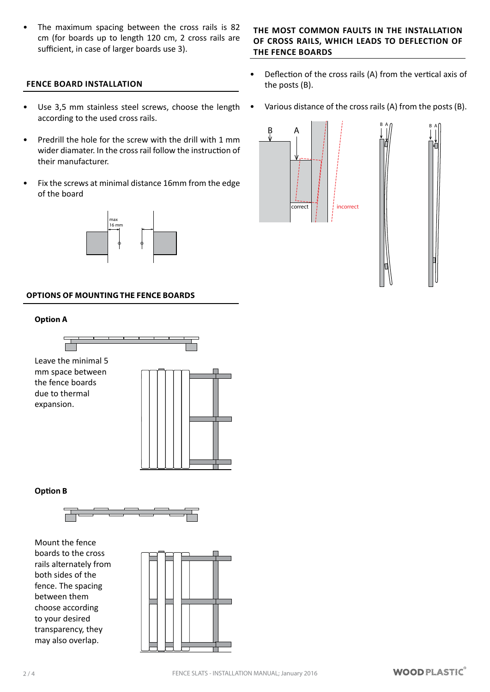#### **FENCE BOARD INSTALLATION**

- Use 3,5 mm stainless steel screws, choose the length according to the used cross rails.
- Predrill the hole for the screw with the drill with 1 mm wider diamater. In the cross rail follow the instruction of their manufacturer.
- Fix the screws at minimal distance 16mm from the edge of the board



#### **OPTIONS OF MOUNTING THE FENCE BOARDS**

#### **Option A**



**Option B**



Mount the fence boards to the cross rails alternately from both sides of the fence. The spacing between them choose according to your desired transparency, they may also overlap.

#### **THE MOST COMMON FAULTS IN THE INSTALLATION OF CROSS RAILS, WHICH LEADS TO DEFLECTION OF THE FENCE BOARDS**

- Deflection of the cross rails (A) from the vertical axis of the posts (B).
- Various distance of the cross rails (A) from the posts (B).

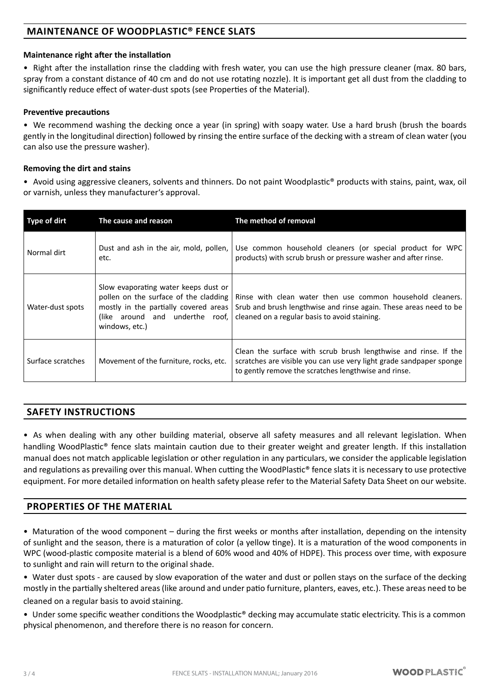# **MAINTENANCE OF WOODPLASTIC® FENCE SLATS**

#### **Maintenance right after the installation**

• Right after the installation rinse the cladding with fresh water, you can use the high pressure cleaner (max. 80 bars, spray from a constant distance of 40 cm and do not use rotating nozzle). It is important get all dust from the cladding to significantly reduce effect of water-dust spots (see Properties of the Material).

#### **Preventive precautions**

• We recommend washing the decking once a year (in spring) with soapy water. Use a hard brush (brush the boards gently in the longitudinal direction) followed by rinsing the entire surface of the decking with a stream of clean water (you can also use the pressure washer).

#### **Removing the dirt and stains**

• Avoid using aggressive cleaners, solvents and thinners. Do not paint Woodplastic<sup>®</sup> products with stains, paint, wax, oil or varnish, unless they manufacturer's approval.

| Type of dirt      | The cause and reason                                                                                                                                                        | The method of removal                                                                                                                                                                          |
|-------------------|-----------------------------------------------------------------------------------------------------------------------------------------------------------------------------|------------------------------------------------------------------------------------------------------------------------------------------------------------------------------------------------|
| Normal dirt       | Dust and ash in the air, mold, pollen,<br>etc.                                                                                                                              | Use common household cleaners (or special product for WPC<br>products) with scrub brush or pressure washer and after rinse.                                                                    |
| Water-dust spots  | Slow evaporating water keeps dust or<br>pollen on the surface of the cladding<br>mostly in the partially covered areas<br>(like around and underthe roof,<br>windows, etc.) | Rinse with clean water then use common household cleaners.<br>Srub and brush lengthwise and rinse again. These areas need to be<br>cleaned on a regular basis to avoid staining.               |
| Surface scratches | Movement of the furniture, rocks, etc.                                                                                                                                      | Clean the surface with scrub brush lengthwise and rinse. If the<br>scratches are visible you can use very light grade sandpaper sponge<br>to gently remove the scratches lengthwise and rinse. |

# **SAFETY INSTRUCTIONS**

• As when dealing with any other building material, observe all safety measures and all relevant legislation. When handling WoodPlastic® fence slats maintain caution due to their greater weight and greater length. If this installation manual does not match applicable legislation or other regulation in any particulars, we consider the applicable legislation and regulations as prevailing over this manual. When cutting the WoodPlastic® fence slats it is necessary to use protective equipment. For more detailed information on health safety please refer to the Material Safety Data Sheet on our website.

## **PROPERTIES OF THE MATERIAL**

• Maturation of the wood component – during the first weeks or months after installation, depending on the intensity of sunlight and the season, there is a maturation of color (a yellow tinge). It is a maturation of the wood components in WPC (wood-plastic composite material is a blend of 60% wood and 40% of HDPE). This process over time, with exposure to sunlight and rain will return to the original shade.

• Water dust spots - are caused by slow evaporation of the water and dust or pollen stays on the surface of the decking mostly in the partially sheltered areas(like around and under patio furniture, planters, eaves, etc.). These areas need to be

cleaned on a regular basis to avoid staining.

• Under some specific weather conditions the Woodplastic<sup>®</sup> decking may accumulate static electricity. This is a common physical phenomenon, and therefore there is no reason for concern.